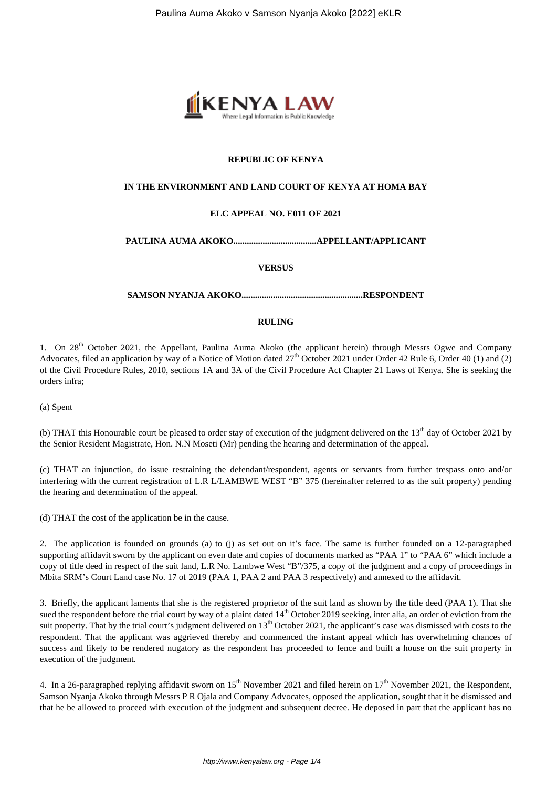

# **REPUBLIC OF KENYA**

#### **IN THE ENVIRONMENT AND LAND COURT OF KENYA AT HOMA BAY**

## **ELC APPEAL NO. E011 OF 2021**

## **PAULINA AUMA AKOKO.....................................APPELLANT/APPLICANT**

#### **VERSUS**

#### **SAMSON NYANJA AKOKO......................................................RESPONDENT**

## **RULING**

1. On 28<sup>th</sup> October 2021, the Appellant, Paulina Auma Akoko (the applicant herein) through Messrs Ogwe and Company Advocates, filed an application by way of a Notice of Motion dated  $27<sup>th</sup>$  October 2021 under Order 42 Rule 6, Order 40 (1) and (2) of the Civil Procedure Rules, 2010, sections 1A and 3A of the Civil Procedure Act Chapter 21 Laws of Kenya. She is seeking the orders infra;

(a) Spent

(b) THAT this Honourable court be pleased to order stay of execution of the judgment delivered on the 13<sup>th</sup> day of October 2021 by the Senior Resident Magistrate, Hon. N.N Moseti (Mr) pending the hearing and determination of the appeal.

(c) THAT an injunction, do issue restraining the defendant/respondent, agents or servants from further trespass onto and/or interfering with the current registration of L.R L/LAMBWE WEST "B" 375 (hereinafter referred to as the suit property) pending the hearing and determination of the appeal.

(d) THAT the cost of the application be in the cause.

2. The application is founded on grounds (a) to (j) as set out on it's face. The same is further founded on a 12-paragraphed supporting affidavit sworn by the applicant on even date and copies of documents marked as "PAA 1" to "PAA 6" which include a copy of title deed in respect of the suit land, L.R No. Lambwe West "B"/375, a copy of the judgment and a copy of proceedings in Mbita SRM's Court Land case No. 17 of 2019 (PAA 1, PAA 2 and PAA 3 respectively) and annexed to the affidavit.

3. Briefly, the applicant laments that she is the registered proprietor of the suit land as shown by the title deed (PAA 1). That she sued the respondent before the trial court by way of a plaint dated 14<sup>th</sup> October 2019 seeking, inter alia, an order of eviction from the suit property. That by the trial court's judgment delivered on  $13<sup>th</sup>$  October 2021, the applicant's case was dismissed with costs to the respondent. That the applicant was aggrieved thereby and commenced the instant appeal which has overwhelming chances of success and likely to be rendered nugatory as the respondent has proceeded to fence and built a house on the suit property in execution of the judgment.

4. In a 26-paragraphed replying affidavit sworn on  $15^{th}$  November 2021 and filed herein on  $17^{th}$  November 2021, the Respondent, Samson Nyanja Akoko through Messrs P R Ojala and Company Advocates, opposed the application, sought that it be dismissed and that he be allowed to proceed with execution of the judgment and subsequent decree. He deposed in part that the applicant has no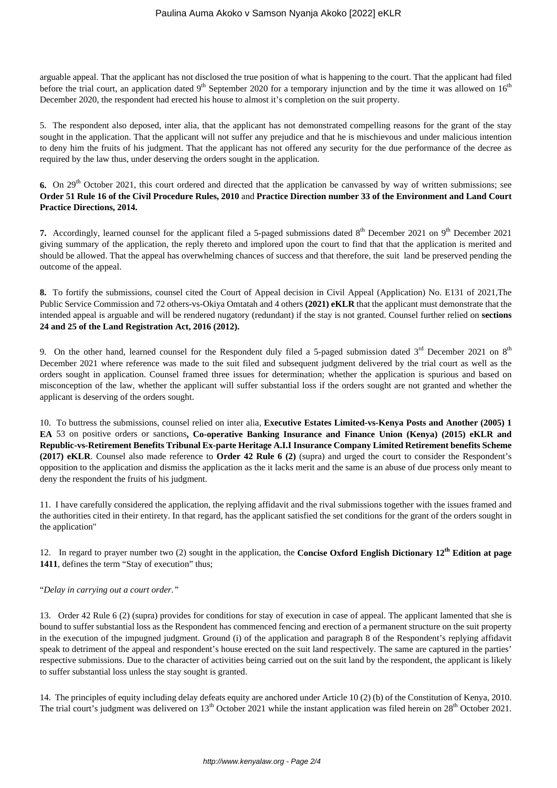arguable appeal. That the applicant has not disclosed the true position of what is happening to the court. That the applicant had filed before the trial court, an application dated  $9<sup>th</sup>$  September 2020 for a temporary injunction and by the time it was allowed on  $16<sup>th</sup>$ December 2020, the respondent had erected his house to almost it's completion on the suit property.

5. The respondent also deposed, inter alia, that the applicant has not demonstrated compelling reasons for the grant of the stay sought in the application. That the applicant will not suffer any prejudice and that he is mischievous and under malicious intention to deny him the fruits of his judgment. That the applicant has not offered any security for the due performance of the decree as required by the law thus, under deserving the orders sought in the application.

**6.** On 29<sup>th</sup> October 2021, this court ordered and directed that the application be canvassed by way of written submissions; see **Order 51 Rule 16 of the Civil Procedure Rules, 2010** and **Practice Direction number 33 of the Environment and Land Court Practice Directions, 2014.**

**7.** Accordingly, learned counsel for the applicant filed a 5-paged submissions dated 8<sup>th</sup> December 2021 on 9<sup>th</sup> December 2021 giving summary of the application, the reply thereto and implored upon the court to find that that the application is merited and should be allowed. That the appeal has overwhelming chances of success and that therefore, the suit land be preserved pending the outcome of the appeal.

**8.** To fortify the submissions, counsel cited the Court of Appeal decision in Civil Appeal (Application) No. E131 of 2021,The Public Service Commission and 72 others-vs-Okiya Omtatah and 4 others **(2021) eKLR** that the applicant must demonstrate that the intended appeal is arguable and will be rendered nugatory (redundant) if the stay is not granted. Counsel further relied on **sections 24 and 25 of the Land Registration Act, 2016 (2012).**

9. On the other hand, learned counsel for the Respondent duly filed a 5-paged submission dated  $3^{rd}$  December 2021 on  $8^{th}$ December 2021 where reference was made to the suit filed and subsequent judgment delivered by the trial court as well as the orders sought in application. Counsel framed three issues for determination; whether the application is spurious and based on misconception of the law, whether the applicant will suffer substantial loss if the orders sought are not granted and whether the applicant is deserving of the orders sought.

10. To buttress the submissions, counsel relied on inter alia, **Executive Estates Limited-vs-Kenya Posts and Another (2005) 1 EA** 53 on positive orders or sanctions**, Co-operative Banking Insurance and Finance Union (Kenya) (2015) eKLR and Republic-vs-Retirement Benefits Tribunal Ex-parte Heritage A.I.I Insurance Company Limited Retirement benefits Scheme (2017) eKLR**. Counsel also made reference to **Order 42 Rule 6 (2)** (supra) and urged the court to consider the Respondent's opposition to the application and dismiss the application as the it lacks merit and the same is an abuse of due process only meant to deny the respondent the fruits of his judgment.

11. I have carefully considered the application, the replying affidavit and the rival submissions together with the issues framed and the authorities cited in their entirety. In that regard, has the applicant satisfied the set conditions for the grant of the orders sought in the application"

12. In regard to prayer number two (2) sought in the application, the **Concise Oxford English Dictionary 12th Edition at page 1411**, defines the term "Stay of execution" thus;

"*Delay in carrying out a court order."*

13. Order 42 Rule 6 (2) (supra) provides for conditions for stay of execution in case of appeal. The applicant lamented that she is bound to suffer substantial loss as the Respondent has commenced fencing and erection of a permanent structure on the suit property in the execution of the impugned judgment. Ground (i) of the application and paragraph 8 of the Respondent's replying affidavit speak to detriment of the appeal and respondent's house erected on the suit land respectively. The same are captured in the parties' respective submissions. Due to the character of activities being carried out on the suit land by the respondent, the applicant is likely to suffer substantial loss unless the stay sought is granted.

14. The principles of equity including delay defeats equity are anchored under Article 10 (2) (b) of the Constitution of Kenya, 2010. The trial court's judgment was delivered on 13<sup>th</sup> October 2021 while the instant application was filed herein on 28<sup>th</sup> October 2021.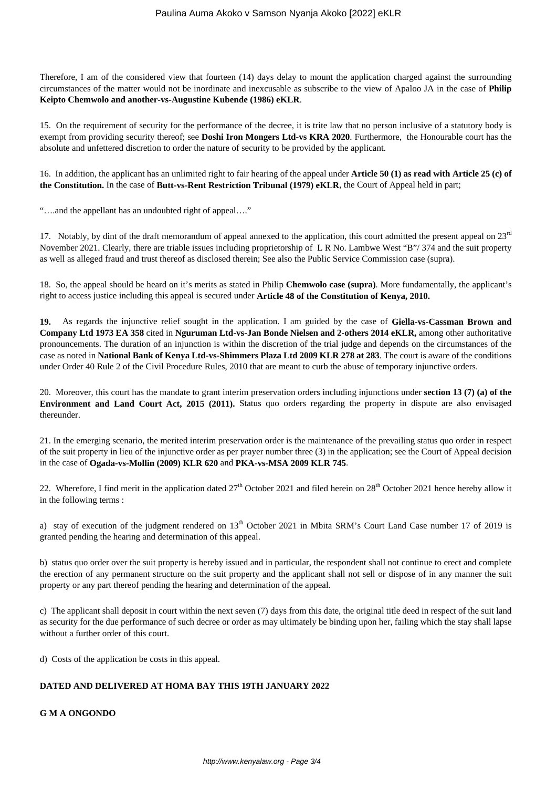Therefore, I am of the considered view that fourteen (14) days delay to mount the application charged against the surrounding circumstances of the matter would not be inordinate and inexcusable as subscribe to the view of Apaloo JA in the case of **Philip Keipto Chemwolo and another-vs-Augustine Kubende (1986) eKLR**.

15. On the requirement of security for the performance of the decree, it is trite law that no person inclusive of a statutory body is exempt from providing security thereof; see **Doshi Iron Mongers Ltd-vs KRA 2020**. Furthermore, the Honourable court has the absolute and unfettered discretion to order the nature of security to be provided by the applicant.

16. In addition, the applicant has an unlimited right to fair hearing of the appeal under **Article 50 (1) as read with Article 25 (c) of the Constitution.** In the case of **Butt-vs-Rent Restriction Tribunal (1979) eKLR**, the Court of Appeal held in part;

"….and the appellant has an undoubted right of appeal…."

17. Notably, by dint of the draft memorandum of appeal annexed to the application, this court admitted the present appeal on  $23<sup>rd</sup>$ November 2021. Clearly, there are triable issues including proprietorship of L R No. Lambwe West "B"/ 374 and the suit property as well as alleged fraud and trust thereof as disclosed therein; See also the Public Service Commission case (supra).

18. So, the appeal should be heard on it's merits as stated in Philip **Chemwolo case (supra)**. More fundamentally, the applicant's right to access justice including this appeal is secured under **Article 48 of the Constitution of Kenya, 2010.**

**19.** As regards the injunctive relief sought in the application. I am guided by the case of **Giella-vs-Cassman Brown and Company Ltd 1973 EA 358** cited in **Nguruman Ltd-vs-Jan Bonde Nielsen and 2-others 2014 eKLR,** among other authoritative pronouncements. The duration of an injunction is within the discretion of the trial judge and depends on the circumstances of the case as noted in **National Bank of Kenya Ltd-vs-Shimmers Plaza Ltd 2009 KLR 278 at 283**. The court is aware of the conditions under Order 40 Rule 2 of the Civil Procedure Rules, 2010 that are meant to curb the abuse of temporary injunctive orders.

20. Moreover, this court has the mandate to grant interim preservation orders including injunctions under **section 13 (7) (a) of the Environment and Land Court Act, 2015 (2011).** Status quo orders regarding the property in dispute are also envisaged thereunder.

21. In the emerging scenario, the merited interim preservation order is the maintenance of the prevailing status quo order in respect of the suit property in lieu of the injunctive order as per prayer number three (3) in the application; see the Court of Appeal decision in the case of **Ogada-vs-Mollin (2009) KLR 620** and **PKA-vs-MSA 2009 KLR 745**.

22. Wherefore, I find merit in the application dated  $27<sup>th</sup>$  October 2021 and filed herein on  $28<sup>th</sup>$  October 2021 hence hereby allow it in the following terms :

a) stay of execution of the judgment rendered on  $13<sup>th</sup>$  October 2021 in Mbita SRM's Court Land Case number 17 of 2019 is granted pending the hearing and determination of this appeal.

b) status quo order over the suit property is hereby issued and in particular, the respondent shall not continue to erect and complete the erection of any permanent structure on the suit property and the applicant shall not sell or dispose of in any manner the suit property or any part thereof pending the hearing and determination of the appeal.

c) The applicant shall deposit in court within the next seven (7) days from this date, the original title deed in respect of the suit land as security for the due performance of such decree or order as may ultimately be binding upon her, failing which the stay shall lapse without a further order of this court.

d) Costs of the application be costs in this appeal.

## **DATED AND DELIVERED AT HOMA BAY THIS 19TH JANUARY 2022**

## **G M A ONGONDO**